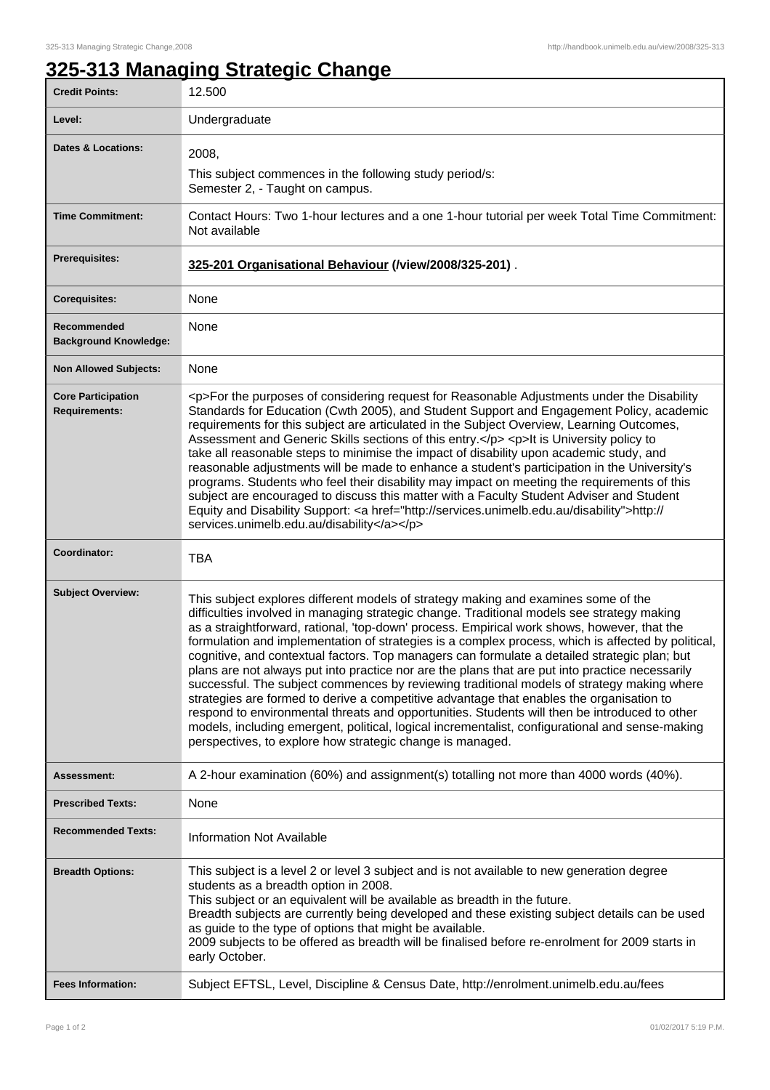## **325-313 Managing Strategic Change**

| <b>Credit Points:</b>                               | 12.500                                                                                                                                                                                                                                                                                                                                                                                                                                                                                                                                                                                                                                                                                                                                                                                                                                                                                                                                                                                                                                              |
|-----------------------------------------------------|-----------------------------------------------------------------------------------------------------------------------------------------------------------------------------------------------------------------------------------------------------------------------------------------------------------------------------------------------------------------------------------------------------------------------------------------------------------------------------------------------------------------------------------------------------------------------------------------------------------------------------------------------------------------------------------------------------------------------------------------------------------------------------------------------------------------------------------------------------------------------------------------------------------------------------------------------------------------------------------------------------------------------------------------------------|
| Level:                                              | Undergraduate                                                                                                                                                                                                                                                                                                                                                                                                                                                                                                                                                                                                                                                                                                                                                                                                                                                                                                                                                                                                                                       |
| <b>Dates &amp; Locations:</b>                       | 2008,                                                                                                                                                                                                                                                                                                                                                                                                                                                                                                                                                                                                                                                                                                                                                                                                                                                                                                                                                                                                                                               |
|                                                     | This subject commences in the following study period/s:<br>Semester 2, - Taught on campus.                                                                                                                                                                                                                                                                                                                                                                                                                                                                                                                                                                                                                                                                                                                                                                                                                                                                                                                                                          |
| <b>Time Commitment:</b>                             | Contact Hours: Two 1-hour lectures and a one 1-hour tutorial per week Total Time Commitment:<br>Not available                                                                                                                                                                                                                                                                                                                                                                                                                                                                                                                                                                                                                                                                                                                                                                                                                                                                                                                                       |
| <b>Prerequisites:</b>                               | 325-201 Organisational Behaviour (/view/2008/325-201).                                                                                                                                                                                                                                                                                                                                                                                                                                                                                                                                                                                                                                                                                                                                                                                                                                                                                                                                                                                              |
| <b>Corequisites:</b>                                | None                                                                                                                                                                                                                                                                                                                                                                                                                                                                                                                                                                                                                                                                                                                                                                                                                                                                                                                                                                                                                                                |
| Recommended<br><b>Background Knowledge:</b>         | None                                                                                                                                                                                                                                                                                                                                                                                                                                                                                                                                                                                                                                                                                                                                                                                                                                                                                                                                                                                                                                                |
| <b>Non Allowed Subjects:</b>                        | None                                                                                                                                                                                                                                                                                                                                                                                                                                                                                                                                                                                                                                                                                                                                                                                                                                                                                                                                                                                                                                                |
| <b>Core Participation</b><br><b>Requirements:</b>   | <p>For the purposes of considering request for Reasonable Adjustments under the Disability<br/>Standards for Education (Cwth 2005), and Student Support and Engagement Policy, academic<br/>requirements for this subject are articulated in the Subject Overview, Learning Outcomes,<br/>Assessment and Generic Skills sections of this entry.</p> <p>lt is University policy to<br/>take all reasonable steps to minimise the impact of disability upon academic study, and<br/>reasonable adjustments will be made to enhance a student's participation in the University's<br/>programs. Students who feel their disability may impact on meeting the requirements of this<br/>subject are encouraged to discuss this matter with a Faculty Student Adviser and Student<br/>Equity and Disability Support: &lt; a href="http://services.unimelb.edu.au/disability"&gt;http://<br/>services.unimelb.edu.au/disability</p>                                                                                                                        |
|                                                     |                                                                                                                                                                                                                                                                                                                                                                                                                                                                                                                                                                                                                                                                                                                                                                                                                                                                                                                                                                                                                                                     |
| Coordinator:                                        | <b>TBA</b>                                                                                                                                                                                                                                                                                                                                                                                                                                                                                                                                                                                                                                                                                                                                                                                                                                                                                                                                                                                                                                          |
| <b>Subject Overview:</b>                            | This subject explores different models of strategy making and examines some of the<br>difficulties involved in managing strategic change. Traditional models see strategy making<br>as a straightforward, rational, 'top-down' process. Empirical work shows, however, that the<br>formulation and implementation of strategies is a complex process, which is affected by political,<br>cognitive, and contextual factors. Top managers can formulate a detailed strategic plan; but<br>plans are not always put into practice nor are the plans that are put into practice necessarily<br>successful. The subject commences by reviewing traditional models of strategy making where<br>strategies are formed to derive a competitive advantage that enables the organisation to<br>respond to environmental threats and opportunities. Students will then be introduced to other<br>models, including emergent, political, logical incrementalist, configurational and sense-making<br>perspectives, to explore how strategic change is managed. |
| Assessment:                                         | A 2-hour examination (60%) and assignment(s) totalling not more than 4000 words (40%).                                                                                                                                                                                                                                                                                                                                                                                                                                                                                                                                                                                                                                                                                                                                                                                                                                                                                                                                                              |
| <b>Prescribed Texts:</b>                            | None                                                                                                                                                                                                                                                                                                                                                                                                                                                                                                                                                                                                                                                                                                                                                                                                                                                                                                                                                                                                                                                |
| <b>Recommended Texts:</b>                           | <b>Information Not Available</b>                                                                                                                                                                                                                                                                                                                                                                                                                                                                                                                                                                                                                                                                                                                                                                                                                                                                                                                                                                                                                    |
| <b>Breadth Options:</b><br><b>Fees Information:</b> | This subject is a level 2 or level 3 subject and is not available to new generation degree<br>students as a breadth option in 2008.<br>This subject or an equivalent will be available as breadth in the future.<br>Breadth subjects are currently being developed and these existing subject details can be used<br>as guide to the type of options that might be available.<br>2009 subjects to be offered as breadth will be finalised before re-enrolment for 2009 starts in<br>early October.<br>Subject EFTSL, Level, Discipline & Census Date, http://enrolment.unimelb.edu.au/fees                                                                                                                                                                                                                                                                                                                                                                                                                                                          |